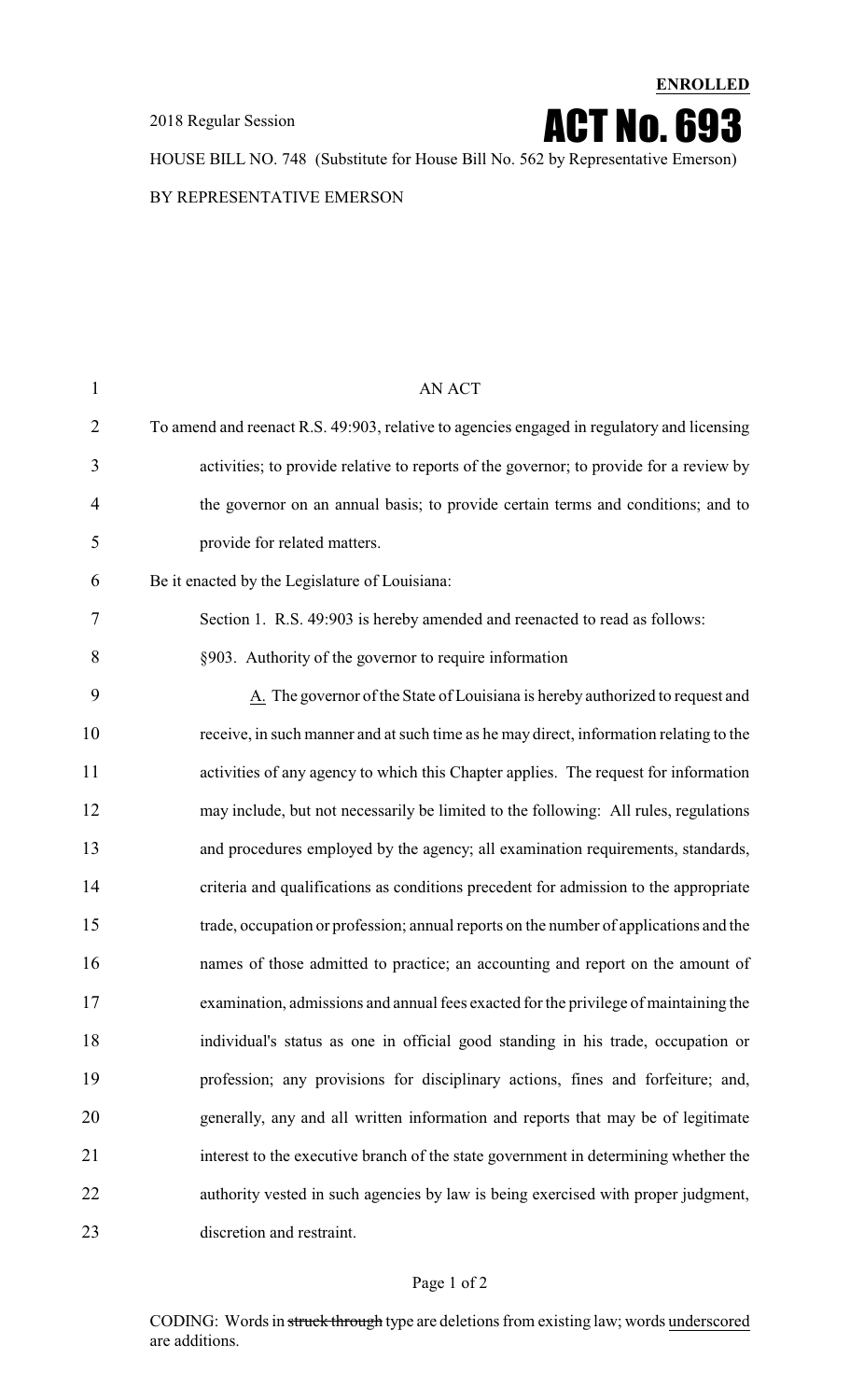

HOUSE BILL NO. 748 (Substitute for House Bill No. 562 by Representative Emerson)

BY REPRESENTATIVE EMERSON

| $\mathbf{1}$   | AN ACT                                                                                     |
|----------------|--------------------------------------------------------------------------------------------|
| $\overline{2}$ | To amend and reenact R.S. 49:903, relative to agencies engaged in regulatory and licensing |
| 3              | activities; to provide relative to reports of the governor; to provide for a review by     |
| 4              | the governor on an annual basis; to provide certain terms and conditions; and to           |
| 5              | provide for related matters.                                                               |
| 6              | Be it enacted by the Legislature of Louisiana:                                             |
| 7              | Section 1. R.S. 49:903 is hereby amended and reenacted to read as follows:                 |
| 8              | §903. Authority of the governor to require information                                     |
| 9              | A. The governor of the State of Louisiana is hereby authorized to request and              |
| 10             | receive, in such manner and at such time as he may direct, information relating to the     |
| 11             | activities of any agency to which this Chapter applies. The request for information        |
| 12             | may include, but not necessarily be limited to the following: All rules, regulations       |
| 13             | and procedures employed by the agency; all examination requirements, standards,            |
| 14             | criteria and qualifications as conditions precedent for admission to the appropriate       |
| 15             | trade, occupation or profession; annual reports on the number of applications and the      |
| 16             | names of those admitted to practice; an accounting and report on the amount of             |
| 17             | examination, admissions and annual fees exacted for the privilege of maintaining the       |
| 18             | individual's status as one in official good standing in his trade, occupation or           |
| 19             | profession; any provisions for disciplinary actions, fines and forfeiture; and,            |
| 20             | generally, any and all written information and reports that may be of legitimate           |
| 21             | interest to the executive branch of the state government in determining whether the        |
| 22             | authority vested in such agencies by law is being exercised with proper judgment,          |
| 23             | discretion and restraint.                                                                  |
|                |                                                                                            |

#### Page 1 of 2

CODING: Words in struck through type are deletions from existing law; words underscored are additions.